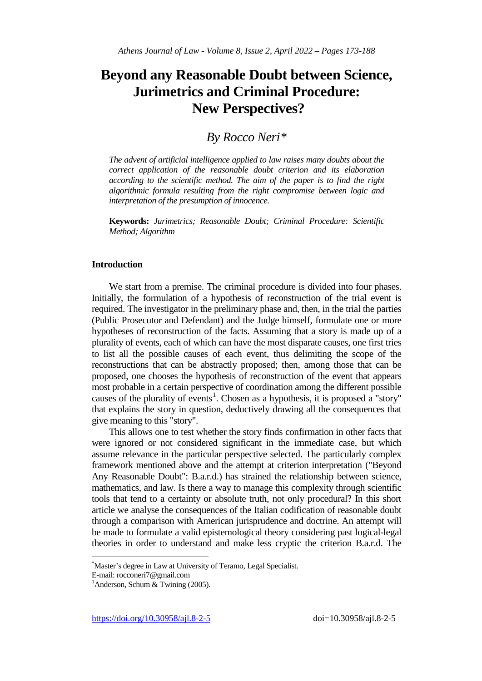# **Beyond any Reasonable Doubt between Science, Jurimetrics and Criminal Procedure: New Perspectives?**

# *By Rocco Ner[i\\*](#page-0-0)*

*The advent of artificial intelligence applied to law raises many doubts about the correct application of the reasonable doubt criterion and its elaboration according to the scientific method. The aim of the paper is to find the right algorithmic formula resulting from the right compromise between logic and interpretation of the presumption of innocence.* 

**Keywords:** *Jurimetrics; Reasonable Doubt; Criminal Procedure: Scientific Method; Algorithm*

#### **Introduction**

We start from a premise. The criminal procedure is divided into four phases. Initially, the formulation of a hypothesis of reconstruction of the trial event is required. The investigator in the preliminary phase and, then, in the trial the parties (Public Prosecutor and Defendant) and the Judge himself, formulate one or more hypotheses of reconstruction of the facts. Assuming that a story is made up of a plurality of events, each of which can have the most disparate causes, one first tries to list all the possible causes of each event, thus delimiting the scope of the reconstructions that can be abstractly proposed; then, among those that can be proposed, one chooses the hypothesis of reconstruction of the event that appears most probable in a certain perspective of coordination among the different possible causes of the plurality of events<sup>[1](#page-0-1)</sup>. Chosen as a hypothesis, it is proposed a "story" that explains the story in question, deductively drawing all the consequences that give meaning to this "story".

This allows one to test whether the story finds confirmation in other facts that were ignored or not considered significant in the immediate case, but which assume relevance in the particular perspective selected. The particularly complex framework mentioned above and the attempt at criterion interpretation ("Beyond Any Reasonable Doubt": B.a.r.d.) has strained the relationship between science, mathematics, and law. Is there a way to manage this complexity through scientific tools that tend to a certainty or absolute truth, not only procedural? In this short article we analyse the consequences of the Italian codification of reasonable doubt through a comparison with American jurisprudence and doctrine. An attempt will be made to formulate a valid epistemological theory considering past logical-legal theories in order to understand and make less cryptic the criterion B.a.r.d. The

\* Master's degree in Law at University of Teramo, Legal Specialist.

<span id="page-0-0"></span>E-mail: rocconeri7@gmail.com <sup>1</sup>

<span id="page-0-1"></span><sup>&</sup>lt;sup>1</sup> Anderson, Schum & Twining (2005).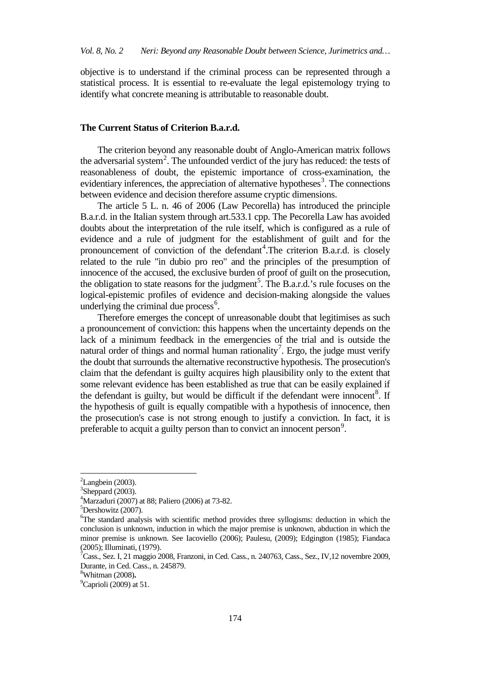objective is to understand if the criminal process can be represented through a statistical process. It is essential to re-evaluate the legal epistemology trying to identify what concrete meaning is attributable to reasonable doubt.

# **The Current Status of Criterion B.a.r.d.**

The criterion beyond any reasonable doubt of Anglo-American matrix follows the adversarial system<sup>[2](#page-1-0)</sup>. The unfounded verdict of the jury has reduced: the tests of reasonableness of doubt, the epistemic importance of cross-examination, the evidentiary inferences, the appreciation of alternative hypotheses<sup>[3](#page-1-1)</sup>. The connections between evidence and decision therefore assume cryptic dimensions.

The article 5 L. n. 46 of 2006 (Law Pecorella) has introduced the principle B.a.r.d. in the Italian system through art.533.1 cpp. The Pecorella Law has avoided doubts about the interpretation of the rule itself, which is configured as a rule of evidence and a rule of judgment for the establishment of guilt and for the pronouncement of conviction of the defendant<sup>[4](#page-1-2)</sup>. The criterion B.a.r.d. is closely related to the rule "in dubio pro reo" and the principles of the presumption of innocence of the accused, the exclusive burden of proof of guilt on the prosecution, the obligation to state reasons for the judgment<sup>[5](#page-1-3)</sup>. The B.a.r.d.'s rule focuses on the logical-epistemic profiles of evidence and decision-making alongside the values underlying the criminal due process<sup>[6](#page-1-4)</sup>.

Therefore emerges the concept of unreasonable doubt that legitimises as such a pronouncement of conviction: this happens when the uncertainty depends on the lack of a minimum feedback in the emergencies of the trial and is outside the natural order of things and normal human rationality<sup>[7](#page-1-5)</sup>. Ergo, the judge must verify the doubt that surrounds the alternative reconstructive hypothesis. The prosecution's claim that the defendant is guilty acquires high plausibility only to the extent that some relevant evidence has been established as true that can be easily explained if the defendant is guilty, but would be difficult if the defendant were innocent<sup>[8](#page-1-6)</sup>. If the hypothesis of guilt is equally compatible with a hypothesis of innocence, then the prosecution's case is not strong enough to justify a conviction. In fact, it is preferable to acquit a guilty person than to convict an innocent person<sup>[9](#page-1-7)</sup>.

<span id="page-1-0"></span><sup>&</sup>lt;sup>2</sup>  ${}^{2}$ Langbein (2003).

 $3$ Sheppard (2003).

<span id="page-1-2"></span><span id="page-1-1"></span> $^{4}$ Marzaduri (2007) at 88; Paliero (2006) at 73-82.

<span id="page-1-3"></span> ${}^{5}$ Dershowitz (2007).

<span id="page-1-4"></span><sup>&</sup>lt;sup>6</sup>The standard analysis with scientific method provides three syllogisms: deduction in which the conclusion is unknown, induction in which the major premise is unknown, abduction in which the minor premise is unknown. See Iacoviello (2006); Paulesu, (2009); Edgington (1985); Fiandaca (2005); Illuminati, (1979).

<span id="page-1-5"></span> $^7$ Cass., Sez. I, 21 maggio 2008, Franzoni, in Ced. Cass., n. 240763, Cass., Sez., IV,12 novembre 2009, Durante, in Ced. Cass., n. 245879. <sup>8</sup>

Whitman (2008)**.** <sup>9</sup>

<span id="page-1-7"></span><span id="page-1-6"></span> $^9$ Caprioli (2009) at 51.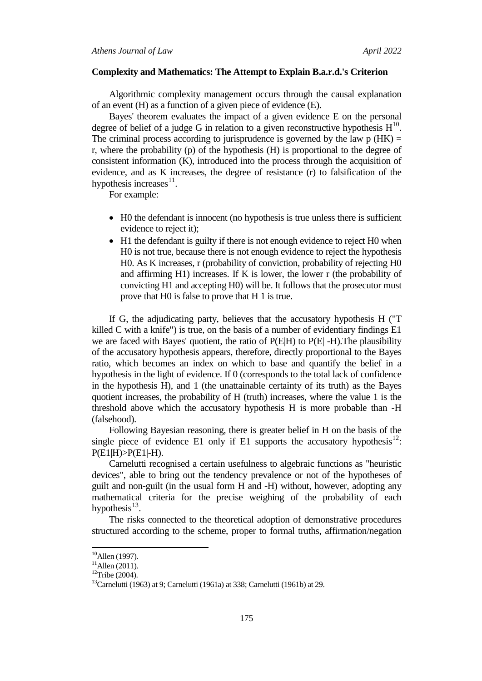#### **Complexity and Mathematics: The Attempt to Explain B.a.r.d.'s Criterion**

Algorithmic complexity management occurs through the causal explanation of an event (H) as a function of a given piece of evidence (E).

Bayes' theorem evaluates the impact of a given evidence E on the personal degree of belief of a judge G in relation to a given reconstructive hypothesis  $H^{10}$  $H^{10}$  $H^{10}$ . The criminal process according to jurisprudence is governed by the law  $p(HK) =$ r, where the probability (p) of the hypothesis (H) is proportional to the degree of consistent information (K), introduced into the process through the acquisition of evidence, and as K increases, the degree of resistance (r) to falsification of the hypothesis increases $^{11}$  $^{11}$  $^{11}$ .

For example:

- H0 the defendant is innocent (no hypothesis is true unless there is sufficient evidence to reject it);
- H1 the defendant is guilty if there is not enough evidence to reject H0 when H0 is not true, because there is not enough evidence to reject the hypothesis H0. As K increases, r (probability of conviction, probability of rejecting H0 and affirming H1) increases. If K is lower, the lower r (the probability of convicting H1 and accepting H0) will be. It follows that the prosecutor must prove that H0 is false to prove that H 1 is true.

If G, the adjudicating party, believes that the accusatory hypothesis H ("T killed C with a knife") is true, on the basis of a number of evidentiary findings E1 we are faced with Bayes' quotient, the ratio of  $P(E|H)$  to  $P(E|H)$ . The plausibility of the accusatory hypothesis appears, therefore, directly proportional to the Bayes ratio, which becomes an index on which to base and quantify the belief in a hypothesis in the light of evidence. If 0 (corresponds to the total lack of confidence in the hypothesis H), and 1 (the unattainable certainty of its truth) as the Bayes quotient increases, the probability of H (truth) increases, where the value 1 is the threshold above which the accusatory hypothesis H is more probable than -H (falsehood).

Following Bayesian reasoning, there is greater belief in H on the basis of the single piece of evidence E1 only if E1 supports the accusatory hypothesis<sup>[12](#page-2-2)</sup>:  $P(E1|H) > P(E1|-H)$ .

Carnelutti recognised a certain usefulness to algebraic functions as "heuristic devices", able to bring out the tendency prevalence or not of the hypotheses of guilt and non-guilt (in the usual form H and -H) without, however, adopting any mathematical criteria for the precise weighing of the probability of each hypothesis $^{13}$  $^{13}$  $^{13}$ .

The risks connected to the theoretical adoption of demonstrative procedures structured according to the scheme, proper to formal truths, affirmation/negation

<span id="page-2-1"></span><span id="page-2-0"></span><sup>&</sup>lt;sup>10</sup>Allen (1997).<br><sup>11</sup>Allen (2011).<br><sup>12</sup>Tribe (2004).

<span id="page-2-3"></span><span id="page-2-2"></span><sup>13</sup>Carnelutti (1963) at 9; Carnelutti (1961a) at 338; Carnelutti (1961b) at 29.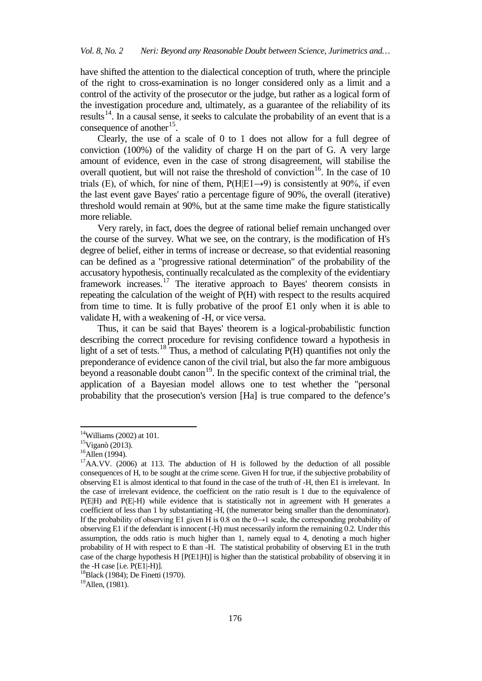have shifted the attention to the dialectical conception of truth, where the principle of the right to cross-examination is no longer considered only as a limit and a control of the activity of the prosecutor or the judge, but rather as a logical form of the investigation procedure and, ultimately, as a guarantee of the reliability of its results<sup>14</sup>. In a causal sense, it seeks to calculate the probability of an event that is a consequence of another<sup>15</sup>.

Clearly, the use of a scale of 0 to 1 does not allow for a full degree of conviction (100%) of the validity of charge H on the part of G. A very large amount of evidence, even in the case of strong disagreement, will stabilise the overall quotient, but will not raise the threshold of conviction<sup>16</sup>. In the case of 10 trials (E), of which, for nine of them,  $P(H|E1\rightarrow 9)$  is consistently at 90%, if even the last event gave Bayes' ratio a percentage figure of 90%, the overall (iterative) threshold would remain at 90%, but at the same time make the figure statistically more reliable.

Very rarely, in fact, does the degree of rational belief remain unchanged over the course of the survey. What we see, on the contrary, is the modification of H's degree of belief, either in terms of increase or decrease, so that evidential reasoning can be defined as a "progressive rational determination" of the probability of the accusatory hypothesis, continually recalculated as the complexity of the evidentiary framework increases.[17](#page-3-3) The iterative approach to Bayes' theorem consists in repeating the calculation of the weight of P(H) with respect to the results acquired from time to time. It is fully probative of the proof E1 only when it is able to validate H, with a weakening of -H, or vice versa.

Thus, it can be said that Bayes' theorem is a logical-probabilistic function describing the correct procedure for revising confidence toward a hypothesis in light of a set of tests.<sup>[18](#page-3-4)</sup> Thus, a method of calculating  $P(H)$  quantifies not only the preponderance of evidence canon of the civil trial, but also the far more ambiguous beyond a reasonable doubt canon<sup>[19](#page-3-5)</sup>. In the specific context of the criminal trial, the application of a Bayesian model allows one to test whether the "personal probability that the prosecution's version [Ha] is true compared to the defence's

<span id="page-3-5"></span>

<span id="page-3-0"></span> $14$ Williams (2002) at 101.

<span id="page-3-1"></span> $15$ Viganò (2013).

 $16$ Allen (1994).

<span id="page-3-3"></span><span id="page-3-2"></span> $17$ AA.VV. (2006) at 113. The abduction of H is followed by the deduction of all possible consequences of H, to be sought at the crime scene. Given H for true, if the subjective probability of observing E1 is almost identical to that found in the case of the truth of -H, then E1 is irrelevant. In the case of irrelevant evidence, the coefficient on the ratio result is 1 due to the equivalence of P(E|H) and P(E|-H) while evidence that is statistically not in agreement with H generates a coefficient of less than 1 by substantiating -H, (the numerator being smaller than the denominator). If the probability of observing E1 given H is 0.8 on the  $0 \rightarrow 1$  scale, the corresponding probability of observing E1 if the defendant is innocent (-H) must necessarily inform the remaining 0.2. Under this assumption, the odds ratio is much higher than 1, namely equal to 4, denoting a much higher probability of H with respect to E than -H. The statistical probability of observing E1 in the truth case of the charge hypothesis H  $[PE1|H]$  is higher than the statistical probability of observing it in

<span id="page-3-4"></span>the -H case [i.e. P(E1|-H)].<br><sup>18</sup>Black (1984); De Finetti (1970).<br><sup>19</sup>Allen, (1981).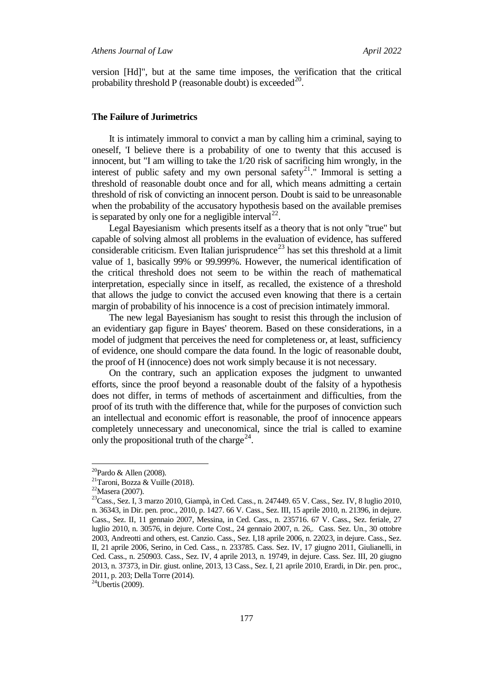version [Hd]", but at the same time imposes, the verification that the critical probability threshold P (reasonable doubt) is exceeded<sup>20</sup>.

#### **The Failure of Jurimetrics**

It is intimately immoral to convict a man by calling him a criminal, saying to oneself, 'I believe there is a probability of one to twenty that this accused is innocent, but "I am willing to take the 1/20 risk of sacrificing him wrongly, in the interest of public safety and my own personal safety<sup>21</sup>." Immoral is setting a threshold of reasonable doubt once and for all, which means admitting a certain threshold of risk of convicting an innocent person. Doubt is said to be unreasonable when the probability of the accusatory hypothesis based on the available premises is separated by only one for a negligible interval<sup>22</sup>.

Legal Bayesianism which presents itself as a theory that is not only "true" but capable of solving almost all problems in the evaluation of evidence, has suffered considerable criticism. Even Italian jurisprudence<sup>[23](#page-4-3)</sup> has set this threshold at a limit value of 1, basically 99% or 99.999%. However, the numerical identification of the critical threshold does not seem to be within the reach of mathematical interpretation, especially since in itself, as recalled, the existence of a threshold that allows the judge to convict the accused even knowing that there is a certain margin of probability of his innocence is a cost of precision intimately immoral.

The new legal Bayesianism has sought to resist this through the inclusion of an evidentiary gap figure in Bayes' theorem. Based on these considerations, in a model of judgment that perceives the need for completeness or, at least, sufficiency of evidence, one should compare the data found. In the logic of reasonable doubt, the proof of H (innocence) does not work simply because it is not necessary.

On the contrary, such an application exposes the judgment to unwanted efforts, since the proof beyond a reasonable doubt of the falsity of a hypothesis does not differ, in terms of methods of ascertainment and difficulties, from the proof of its truth with the difference that, while for the purposes of conviction such an intellectual and economic effort is reasonable, the proof of innocence appears completely unnecessary and uneconomical, since the trial is called to examine only the propositional truth of the charge<sup>[24](#page-4-4)</sup>.

 $20$ Pardo & Allen (2008).

<span id="page-4-1"></span><span id="page-4-0"></span><sup>&</sup>lt;sup>21</sup>Taroni, Bozza & Vuille (2018).<br><sup>22</sup>Masera (2007).

<span id="page-4-3"></span><span id="page-4-2"></span><sup>&</sup>lt;sup>23</sup>Cass., Sez. I, 3 marzo 2010, Giampà, in Ced. Cass., n. 247449. 65 V. Cass., Sez. IV, 8 luglio 2010, n. 36343, in Dir. pen. proc., 2010, p. 1427. 66 V. Cass., Sez. III, 15 aprile 2010, n. 21396, in dejure. Cass., Sez. II, 11 gennaio 2007, Messina, in Ced. Cass., n. 235716. 67 V. Cass., Sez. feriale, 27 luglio 2010, n. 30576, in dejure. Corte Cost., 24 gennaio 2007, n. 26,. Cass. Sez. Un., 30 ottobre 2003, Andreotti and others, est. Canzio. Cass., Sez. I,18 aprile 2006, n. 22023, in dejure. Cass., Sez. II, 21 aprile 2006, Serino, in Ced. Cass., n. 233785. Cass. Sez. IV, 17 giugno 2011, Giulianelli, in Ced. Cass., n. 250903. Cass., Sez. IV, 4 aprile 2013, n. 19749, in dejure. Cass. Sez. III, 20 giugno 2013, n. 37373, in Dir. giust. online, 2013, 13 Cass., Sez. I, 21 aprile 2010, Erardi, in Dir. pen. proc., 2011, p. 203; Della Torre (2014). 24Ubertis (2009).

<span id="page-4-4"></span>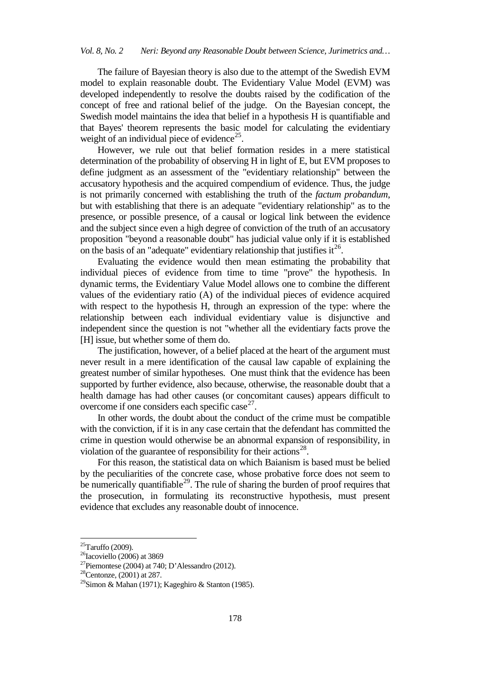The failure of Bayesian theory is also due to the attempt of the Swedish EVM model to explain reasonable doubt. The Evidentiary Value Model (EVM) was developed independently to resolve the doubts raised by the codification of the concept of free and rational belief of the judge. On the Bayesian concept, the Swedish model maintains the idea that belief in a hypothesis H is quantifiable and that Bayes' theorem represents the basic model for calculating the evidentiary weight of an individual piece of evidence<sup>[25](#page-5-0)</sup>.

However, we rule out that belief formation resides in a mere statistical determination of the probability of observing H in light of E, but EVM proposes to define judgment as an assessment of the "evidentiary relationship" between the accusatory hypothesis and the acquired compendium of evidence. Thus, the judge is not primarily concerned with establishing the truth of the *factum probandum*, but with establishing that there is an adequate "evidentiary relationship" as to the presence, or possible presence, of a causal or logical link between the evidence and the subject since even a high degree of conviction of the truth of an accusatory proposition "beyond a reasonable doubt" has judicial value only if it is established on the basis of an "adequate" evidentiary relationship that justifies it  $26$ .

Evaluating the evidence would then mean estimating the probability that individual pieces of evidence from time to time "prove" the hypothesis. In dynamic terms, the Evidentiary Value Model allows one to combine the different values of the evidentiary ratio (A) of the individual pieces of evidence acquired with respect to the hypothesis H, through an expression of the type: where the relationship between each individual evidentiary value is disjunctive and independent since the question is not "whether all the evidentiary facts prove the [H] issue, but whether some of them do.

The justification, however, of a belief placed at the heart of the argument must never result in a mere identification of the causal law capable of explaining the greatest number of similar hypotheses. One must think that the evidence has been supported by further evidence, also because, otherwise, the reasonable doubt that a health damage has had other causes (or concomitant causes) appears difficult to overcome if one considers each specific case  $2^7$ .

In other words, the doubt about the conduct of the crime must be compatible with the conviction, if it is in any case certain that the defendant has committed the crime in question would otherwise be an abnormal expansion of responsibility, in violation of the guarantee of responsibility for their actions<sup>28</sup>.

For this reason, the statistical data on which Baianism is based must be belied by the peculiarities of the concrete case, whose probative force does not seem to be numerically quantifiable<sup>29</sup>. The rule of sharing the burden of proof requires that the prosecution, in formulating its reconstructive hypothesis, must present evidence that excludes any reasonable doubt of innocence.

<span id="page-5-0"></span> $25$ Taruffo (2009).

<span id="page-5-1"></span> $26$ Iacoviello (2006) at 3869

<span id="page-5-2"></span> $27$ Piemontese (2004) at 740; D'Alessandro (2012).

<span id="page-5-3"></span> $28$ Centonze, (2001) at 287.

<span id="page-5-4"></span><sup>&</sup>lt;sup>29</sup>Simon & Mahan (1971); Kageghiro & Stanton (1985).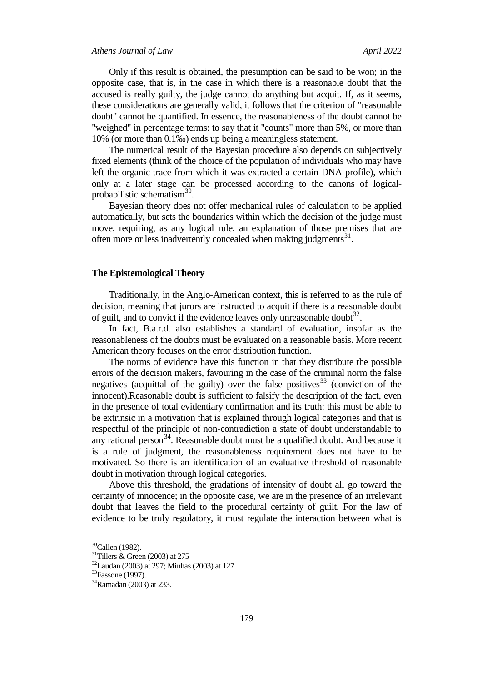Only if this result is obtained, the presumption can be said to be won; in the opposite case, that is, in the case in which there is a reasonable doubt that the accused is really guilty, the judge cannot do anything but acquit. If, as it seems, these considerations are generally valid, it follows that the criterion of "reasonable doubt" cannot be quantified. In essence, the reasonableness of the doubt cannot be "weighed" in percentage terms: to say that it "counts" more than 5%, or more than 10% (or more than 0.1‰) ends up being a meaningless statement.

The numerical result of the Bayesian procedure also depends on subjectively fixed elements (think of the choice of the population of individuals who may have left the organic trace from which it was extracted a certain DNA profile), which only at a later stage can be processed according to the canons of logicalprobabilistic schematism $30$ .

Bayesian theory does not offer mechanical rules of calculation to be applied automatically, but sets the boundaries within which the decision of the judge must move, requiring, as any logical rule, an explanation of those premises that are often more or less inadvertently concealed when making judgments<sup>31</sup>.

### **The Epistemological Theory**

Traditionally, in the Anglo-American context, this is referred to as the rule of decision, meaning that jurors are instructed to acquit if there is a reasonable doubt of guilt, and to convict if the evidence leaves only unreasonable doubt<sup>[32](#page-6-2)</sup>.

In fact, B.a.r.d. also establishes a standard of evaluation, insofar as the reasonableness of the doubts must be evaluated on a reasonable basis. More recent American theory focuses on the error distribution function.

The norms of evidence have this function in that they distribute the possible errors of the decision makers, favouring in the case of the criminal norm the false negatives (acquittal of the guilty) over the false positives<sup>[33](#page-6-3)</sup> (conviction of the innocent).Reasonable doubt is sufficient to falsify the description of the fact, even in the presence of total evidentiary confirmation and its truth: this must be able to be extrinsic in a motivation that is explained through logical categories and that is respectful of the principle of non-contradiction a state of doubt understandable to any rational person<sup>34</sup>. Reasonable doubt must be a qualified doubt. And because it is a rule of judgment, the reasonableness requirement does not have to be motivated. So there is an identification of an evaluative threshold of reasonable doubt in motivation through logical categories.

Above this threshold, the gradations of intensity of doubt all go toward the certainty of innocence; in the opposite case, we are in the presence of an irrelevant doubt that leaves the field to the procedural certainty of guilt. For the law of evidence to be truly regulatory, it must regulate the interaction between what is

<span id="page-6-1"></span><span id="page-6-0"></span> $^{30}$ Callen (1982).<br> $^{31}$ Tillers & Green (2003) at 275

<span id="page-6-3"></span><span id="page-6-2"></span> $^{32}$ Laudan (2003) at 297; Minhas (2003) at 127<br> $^{33}$ Fassone (1997).

<span id="page-6-4"></span><sup>34</sup>Ramadan (2003) at 233.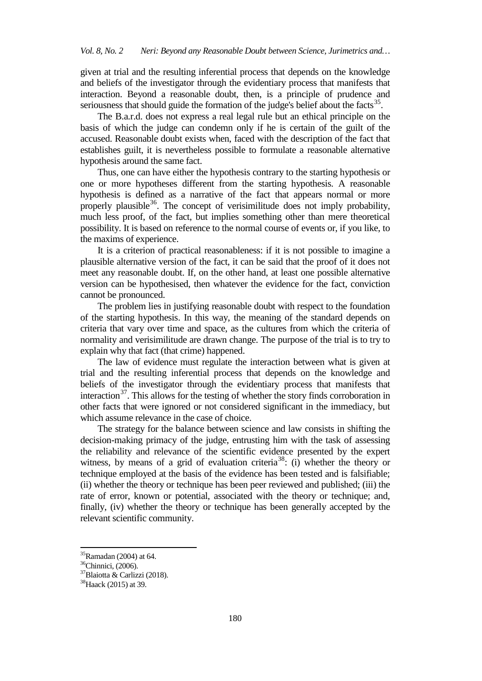given at trial and the resulting inferential process that depends on the knowledge and beliefs of the investigator through the evidentiary process that manifests that interaction. Beyond a reasonable doubt, then, is a principle of prudence and seriousness that should guide the formation of the judge's belief about the facts<sup>35</sup>.

The B.a.r.d. does not express a real legal rule but an ethical principle on the basis of which the judge can condemn only if he is certain of the guilt of the accused. Reasonable doubt exists when, faced with the description of the fact that establishes guilt, it is nevertheless possible to formulate a reasonable alternative hypothesis around the same fact.

Thus, one can have either the hypothesis contrary to the starting hypothesis or one or more hypotheses different from the starting hypothesis. A reasonable hypothesis is defined as a narrative of the fact that appears normal or more properly plausible  $36$ . The concept of verisimilitude does not imply probability, much less proof, of the fact, but implies something other than mere theoretical possibility. It is based on reference to the normal course of events or, if you like, to the maxims of experience.

It is a criterion of practical reasonableness: if it is not possible to imagine a plausible alternative version of the fact, it can be said that the proof of it does not meet any reasonable doubt. If, on the other hand, at least one possible alternative version can be hypothesised, then whatever the evidence for the fact, conviction cannot be pronounced.

The problem lies in justifying reasonable doubt with respect to the foundation of the starting hypothesis. In this way, the meaning of the standard depends on criteria that vary over time and space, as the cultures from which the criteria of normality and verisimilitude are drawn change. The purpose of the trial is to try to explain why that fact (that crime) happened.

The law of evidence must regulate the interaction between what is given at trial and the resulting inferential process that depends on the knowledge and beliefs of the investigator through the evidentiary process that manifests that interaction $37$ . This allows for the testing of whether the story finds corroboration in other facts that were ignored or not considered significant in the immediacy, but which assume relevance in the case of choice.

The strategy for the balance between science and law consists in shifting the decision-making primacy of the judge, entrusting him with the task of assessing the reliability and relevance of the scientific evidence presented by the expert witness, by means of a grid of evaluation criteria<sup>38</sup>: (i) whether the theory or technique employed at the basis of the evidence has been tested and is falsifiable; (ii) whether the theory or technique has been peer reviewed and published; (iii) the rate of error, known or potential, associated with the theory or technique; and, finally, (iv) whether the theory or technique has been generally accepted by the relevant scientific community.

<span id="page-7-0"></span> $35$ Ramadan (2004) at 64.

<span id="page-7-1"></span><sup>36</sup>Chinnici, (2006).

<span id="page-7-2"></span><sup>37</sup>Blaiotta & Carlizzi (2018).

<span id="page-7-3"></span><sup>38</sup>Haack (2015) at 39.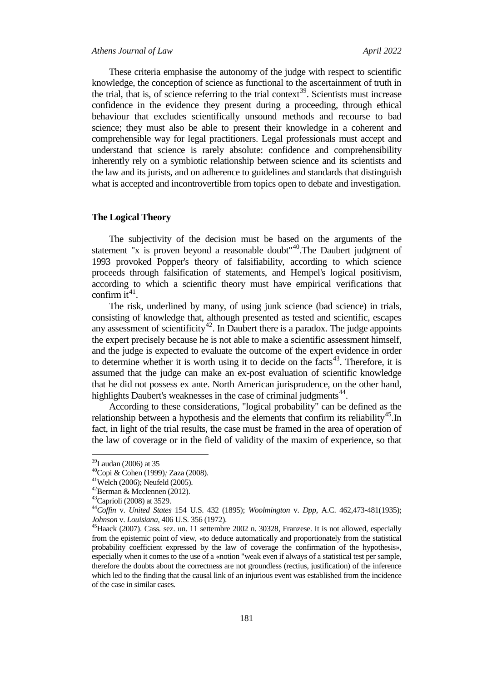#### *Athens Journal of Law April 2022*

These criteria emphasise the autonomy of the judge with respect to scientific knowledge, the conception of science as functional to the ascertainment of truth in the trial, that is, of science referring to the trial context<sup>39</sup>. Scientists must increase confidence in the evidence they present during a proceeding, through ethical behaviour that excludes scientifically unsound methods and recourse to bad science; they must also be able to present their knowledge in a coherent and comprehensible way for legal practitioners. Legal professionals must accept and understand that science is rarely absolute: confidence and comprehensibility inherently rely on a symbiotic relationship between science and its scientists and the law and its jurists, and on adherence to guidelines and standards that distinguish what is accepted and incontrovertible from topics open to debate and investigation.

# **The Logical Theory**

The subjectivity of the decision must be based on the arguments of the statement "x is proven beyond a reasonable doubt"<sup>[40](#page-8-1)</sup>. The Daubert judgment of 1993 provoked Popper's theory of falsifiability, according to which science proceeds through falsification of statements, and Hempel's logical positivism, according to which a scientific theory must have empirical verifications that confirm it  $41$ .

The risk, underlined by many, of using junk science (bad science) in trials, consisting of knowledge that, although presented as tested and scientific, escapes any assessment of scientificity<sup>[42](#page-8-3)</sup>. In Daubert there is a paradox. The judge appoints the expert precisely because he is not able to make a scientific assessment himself, and the judge is expected to evaluate the outcome of the expert evidence in order to determine whether it is worth using it to decide on the facts $43$ . Therefore, it is assumed that the judge can make an ex-post evaluation of scientific knowledge that he did not possess ex ante. North American jurisprudence, on the other hand, highlights Daubert's weaknesses in the case of criminal judgments<sup>[44](#page-8-5)</sup>.

According to these considerations, "logical probability" can be defined as the relationship between a hypothesis and the elements that confirm its reliability<sup>45</sup>.In fact, in light of the trial results, the case must be framed in the area of operation of the law of coverage or in the field of validity of the maxim of experience, so that

<span id="page-8-0"></span><sup>&</sup>lt;sup>39</sup>Laudan (2006) at 35<br><sup>40</sup>Copi & Cohen (1999); Zaza (2008).<br><sup>41</sup>Welch (2006); Neufeld (2005).<br><sup>42</sup>Berman & Mcclennen (2012).<br><sup>43</sup>Caprioli (2008) at 3529.

<span id="page-8-3"></span><span id="page-8-2"></span><span id="page-8-1"></span>

<span id="page-8-4"></span>

<span id="page-8-5"></span><sup>44</sup>*Coffin* v. *United States* 154 U.S. 432 (1895); *Woolmington* v. *Dpp*, A.C. 462,473-481(1935); *Johnson* v. *Louisiana*, 406 U.S. 356 (1972).<br><sup>45</sup>Haack (2007). Cass. sez. un. 11 settembre 2002 n. 30328, Franzese. It is not allowed, especially

<span id="page-8-6"></span>from the epistemic point of view, «to deduce automatically and proportionately from the statistical probability coefficient expressed by the law of coverage the confirmation of the hypothesis», especially when it comes to the use of a «notion "weak even if always of a statistical test per sample, therefore the doubts about the correctness are not groundless (rectius, justification) of the inference which led to the finding that the causal link of an injurious event was established from the incidence of the case in similar cases.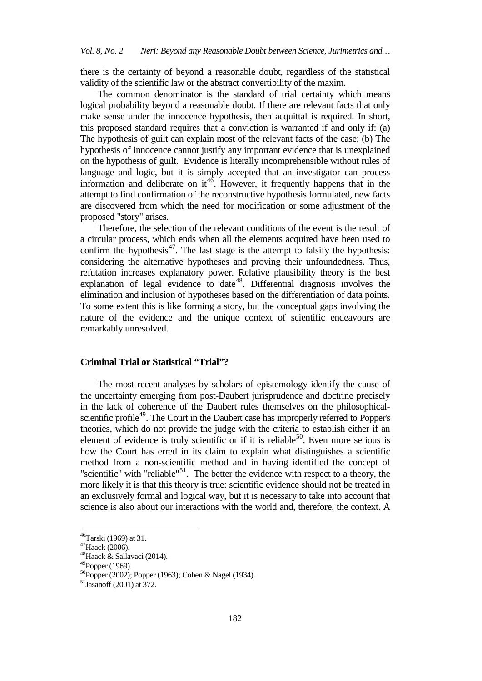there is the certainty of beyond a reasonable doubt, regardless of the statistical validity of the scientific law or the abstract convertibility of the maxim.

The common denominator is the standard of trial certainty which means logical probability beyond a reasonable doubt. If there are relevant facts that only make sense under the innocence hypothesis, then acquittal is required. In short, this proposed standard requires that a conviction is warranted if and only if: (a) The hypothesis of guilt can explain most of the relevant facts of the case; (b) The hypothesis of innocence cannot justify any important evidence that is unexplained on the hypothesis of guilt. Evidence is literally incomprehensible without rules of language and logic, but it is simply accepted that an investigator can process information and deliberate on  $it^{46}$  $it^{46}$  $it^{46}$ . However, it frequently happens that in the attempt to find confirmation of the reconstructive hypothesis formulated, new facts are discovered from which the need for modification or some adjustment of the proposed "story" arises.

Therefore, the selection of the relevant conditions of the event is the result of a circular process, which ends when all the elements acquired have been used to confirm the hypothesis $47$ . The last stage is the attempt to falsify the hypothesis: considering the alternative hypotheses and proving their unfoundedness. Thus, refutation increases explanatory power. Relative plausibility theory is the best explanation of legal evidence to date<sup>48</sup>. Differential diagnosis involves the elimination and inclusion of hypotheses based on the differentiation of data points. To some extent this is like forming a story, but the conceptual gaps involving the nature of the evidence and the unique context of scientific endeavours are remarkably unresolved.

### **Criminal Trial or Statistical "Trial"?**

The most recent analyses by scholars of epistemology identify the cause of the uncertainty emerging from post-Daubert jurisprudence and doctrine precisely in the lack of coherence of the Daubert rules themselves on the philosophicalscientific profile<sup>49</sup>. The Court in the Daubert case has improperly referred to Popper's theories, which do not provide the judge with the criteria to establish either if an element of evidence is truly scientific or if it is reliable<sup>[50](#page-9-4)</sup>. Even more serious is how the Court has erred in its claim to explain what distinguishes a scientific method from a non-scientific method and in having identified the concept of "scientific" with "reliable" $51$ . The better the evidence with respect to a theory, the more likely it is that this theory is true: scientific evidence should not be treated in an exclusively formal and logical way, but it is necessary to take into account that science is also about our interactions with the world and, therefore, the context. A

<span id="page-9-0"></span>46Tarski (1969) at 31.

<span id="page-9-1"></span><sup>47</sup>Haack (2006).

<span id="page-9-2"></span><sup>48</sup>Haack & Sallavaci (2014).

<span id="page-9-3"></span> $^{49}$ Popper (1969).

<span id="page-9-4"></span><sup>50</sup>Popper (2002); Popper (1963); Cohen & Nagel (1934).

<span id="page-9-5"></span> $51$ Jasanoff (2001) at 372.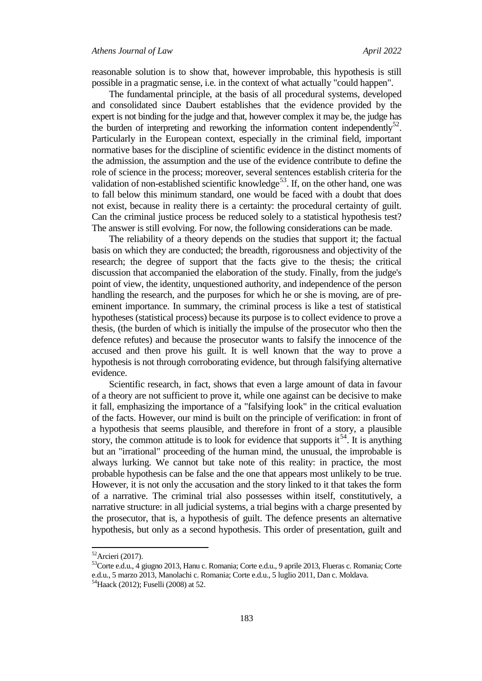reasonable solution is to show that, however improbable, this hypothesis is still possible in a pragmatic sense, i.e. in the context of what actually "could happen".

The fundamental principle, at the basis of all procedural systems, developed and consolidated since Daubert establishes that the evidence provided by the expert is not binding for the judge and that, however complex it may be, the judge has the burden of interpreting and reworking the information content independently $^{22}$ . Particularly in the European context, especially in the criminal field, important normative bases for the discipline of scientific evidence in the distinct moments of the admission, the assumption and the use of the evidence contribute to define the role of science in the process; moreover, several sentences establish criteria for the validation of non-established scientific knowledge<sup>[53](#page-10-1)</sup>. If, on the other hand, one was to fall below this minimum standard, one would be faced with a doubt that does not exist, because in reality there is a certainty: the procedural certainty of guilt. Can the criminal justice process be reduced solely to a statistical hypothesis test? The answer is still evolving. For now, the following considerations can be made.

The reliability of a theory depends on the studies that support it; the factual basis on which they are conducted; the breadth, rigorousness and objectivity of the research; the degree of support that the facts give to the thesis; the critical discussion that accompanied the elaboration of the study. Finally, from the judge's point of view, the identity, unquestioned authority, and independence of the person handling the research, and the purposes for which he or she is moving, are of preeminent importance. In summary, the criminal process is like a test of statistical hypotheses (statistical process) because its purpose is to collect evidence to prove a thesis, (the burden of which is initially the impulse of the prosecutor who then the defence refutes) and because the prosecutor wants to falsify the innocence of the accused and then prove his guilt. It is well known that the way to prove a hypothesis is not through corroborating evidence, but through falsifying alternative evidence.

Scientific research, in fact, shows that even a large amount of data in favour of a theory are not sufficient to prove it, while one against can be decisive to make it fall, emphasizing the importance of a "falsifying look" in the critical evaluation of the facts. However, our mind is built on the principle of verification: in front of a hypothesis that seems plausible, and therefore in front of a story, a plausible story, the common attitude is to look for evidence that supports it<sup>54</sup>. It is anything but an "irrational" proceeding of the human mind, the unusual, the improbable is always lurking. We cannot but take note of this reality: in practice, the most probable hypothesis can be false and the one that appears most unlikely to be true. However, it is not only the accusation and the story linked to it that takes the form of a narrative. The criminal trial also possesses within itself, constitutively, a narrative structure: in all judicial systems, a trial begins with a charge presented by the prosecutor, that is, a hypothesis of guilt. The defence presents an alternative hypothesis, but only as a second hypothesis. This order of presentation, guilt and

 $52$ Arcieri (2017).

<span id="page-10-1"></span><span id="page-10-0"></span><sup>53</sup>Corte e.d.u., 4 giugno 2013, Hanu c. Romania; Corte e.d.u., 9 aprile 2013, Flueras c. Romania; Corte e.d.u., 5 marzo 2013, Manolachi c. Romania; Corte e.d.u., 5 luglio 2011, Dan c. Moldava.

<span id="page-10-2"></span><sup>&</sup>lt;sup>54</sup>Haack (2012); Fuselli (2008) at 52.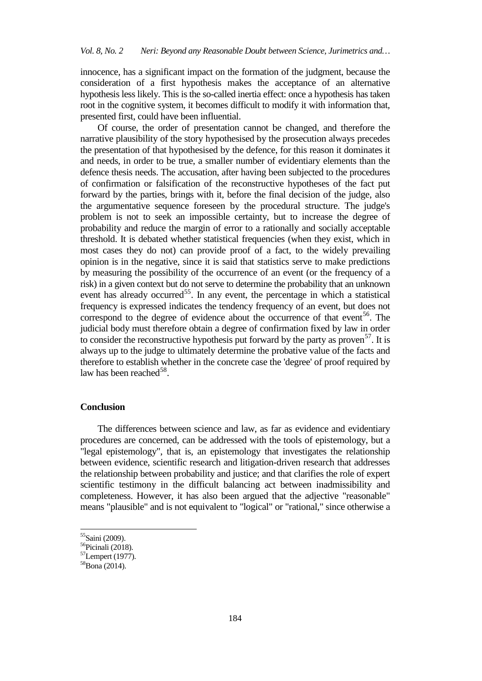innocence, has a significant impact on the formation of the judgment, because the consideration of a first hypothesis makes the acceptance of an alternative hypothesis less likely. This is the so-called inertia effect: once a hypothesis has taken root in the cognitive system, it becomes difficult to modify it with information that, presented first, could have been influential.

Of course, the order of presentation cannot be changed, and therefore the narrative plausibility of the story hypothesised by the prosecution always precedes the presentation of that hypothesised by the defence, for this reason it dominates it and needs, in order to be true, a smaller number of evidentiary elements than the defence thesis needs. The accusation, after having been subjected to the procedures of confirmation or falsification of the reconstructive hypotheses of the fact put forward by the parties, brings with it, before the final decision of the judge, also the argumentative sequence foreseen by the procedural structure. The judge's problem is not to seek an impossible certainty, but to increase the degree of probability and reduce the margin of error to a rationally and socially acceptable threshold. It is debated whether statistical frequencies (when they exist, which in most cases they do not) can provide proof of a fact, to the widely prevailing opinion is in the negative, since it is said that statistics serve to make predictions by measuring the possibility of the occurrence of an event (or the frequency of a risk) in a given context but do not serve to determine the probability that an unknown event has already occurred<sup>55</sup>. In any event, the percentage in which a statistical frequency is expressed indicates the tendency frequency of an event, but does not correspond to the degree of evidence about the occurrence of that event<sup>56</sup>. The judicial body must therefore obtain a degree of confirmation fixed by law in order to consider the reconstructive hypothesis put forward by the party as proven<sup>[57](#page-11-2)</sup>. It is always up to the judge to ultimately determine the probative value of the facts and therefore to establish whether in the concrete case the 'degree' of proof required by law has been reached<sup>[58](#page-11-3)</sup>.

# **Conclusion**

The differences between science and law, as far as evidence and evidentiary procedures are concerned, can be addressed with the tools of epistemology, but a "legal epistemology", that is, an epistemology that investigates the relationship between evidence, scientific research and litigation-driven research that addresses the relationship between probability and justice; and that clarifies the role of expert scientific testimony in the difficult balancing act between inadmissibility and completeness. However, it has also been argued that the adjective "reasonable" means "plausible" and is not equivalent to "logical" or "rational," since otherwise a

<span id="page-11-0"></span> $55$ Saini (2009).<br> $56$ Picinali (2018).

<span id="page-11-2"></span><span id="page-11-1"></span><sup>57</sup>Lempert (1977).

<span id="page-11-3"></span> $58$ Bona (2014).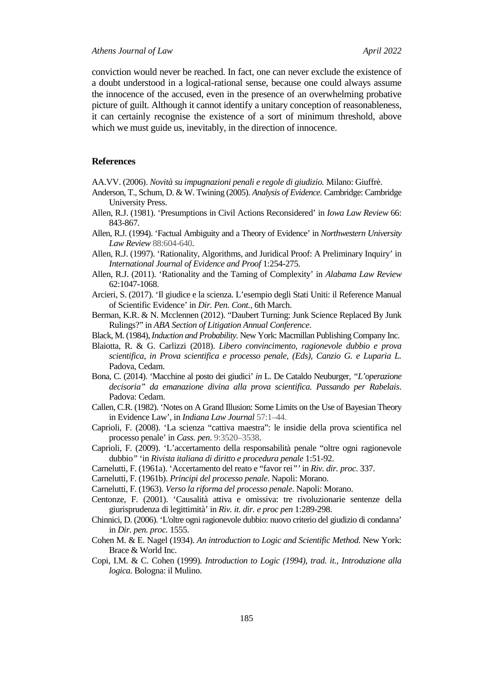#### *Athens Journal of Law April 2022*

conviction would never be reached. In fact, one can never exclude the existence of a doubt understood in a logical-rational sense, because one could always assume the innocence of the accused, even in the presence of an overwhelming probative picture of guilt. Although it cannot identify a unitary conception of reasonableness, it can certainly recognise the existence of a sort of minimum threshold, above which we must guide us, inevitably, in the direction of innocence.

#### **References**

AA.VV. (2006). *Novità su impugnazioni penali e regole di giudizio.* Milano: Giuffrè.

- Anderson, T., Schum, D. & W. Twining (2005). *Analysis of Evidence.* Cambridge: Cambridge University Press.
- Allen, R.J. (1981). 'Presumptions in Civil Actions Reconsidered' in *Iowa Law Review* 66: 843-867.
- Allen, R.J. (1994). 'Factual Ambiguity and a Theory of Evidence' in *Northwestern University Law Review* 88:604-640.
- Allen, R.J. (1997). 'Rationality, Algorithms, and Juridical Proof: A Preliminary Inquiry' in *International Journal of Evidence and Proof* 1:254-275.
- Allen, R.J. (2011). 'Rationality and the Taming of Complexity' in *Alabama Law Review* 62:1047-1068.
- Arcieri, S. (2017). 'Il giudice e la scienza. L'esempio degli Stati Uniti: il Reference Manual of Scientific Evidence' in *Dir. Pen. Cont.,* 6th March.
- Berman, K.R. & N. Mcclennen (2012). "Daubert Turning: Junk Science Replaced By Junk Rulings?" in *ABA Section of Litigation Annual Conference*.
- Black, M. (1984),*Induction and Probability.* New York: Macmillan Publishing Company Inc.
- Blaiotta, R. & G. Carlizzi (2018). *Libero convincimento, ragionevole dubbio e prova scientifica*, *in Prova scientifica e processo penale, (Eds), Canzio G. e Luparia L.*  Padova, Cedam.
- Bona, C. (2014). 'Macchine al posto dei giudici' *in* L. De Cataldo Neuburger*, "L'operazione decisoria" da emanazione divina alla prova scientifica. Passando per Rabelais*. Padova: Cedam.
- Callen, C.R. (1982). 'Notes on A Grand Illusion: Some Limits on the Use of Bayesian Theory in Evidence Law'*,* in *Indiana Law Journal* 57:1–44.
- Caprioli, F. (2008). 'La scienza "cattiva maestra": le insidie della prova scientifica nel processo penale' in *Cass. pen*. 9:3520–3538.
- Caprioli, F. (2009). 'L'accertamento della responsabilità penale "oltre ogni ragionevole dubbio*"* 'in *Rivista italiana di diritto e procedura penale* 1:51-92.
- Carnelutti, F. (1961a). 'Accertamento del reato e "favor rei*"'* in *Riv. dir. proc*. 337.
- Carnelutti, F. (1961b). *Principi del processo penale*. Napoli: Morano.
- Carnelutti, F. (1963). *Verso la riforma del processo penale*. Napoli: Morano.
- Centonze, F. (2001). 'Causalità attiva e omissiva: tre rivoluzionarie sentenze della giurisprudenza di legittimità' in *Riv. it. dir. e proc pen* 1:289-298.
- Chinnici, D. (2006). 'L'oltre ogni ragionevole dubbio: nuovo criterio del giudizio di condanna' in *Dir. pen. proc.* 1555.
- Cohen M. & E. Nagel (1934). *An introduction to Logic and Scientific Method.* New York: Brace & World Inc.
- Copi, I.M. & C. Cohen (1999)*. Introduction to Logic (1994), trad. it., Introduzione alla logica.* Bologna: il Mulino.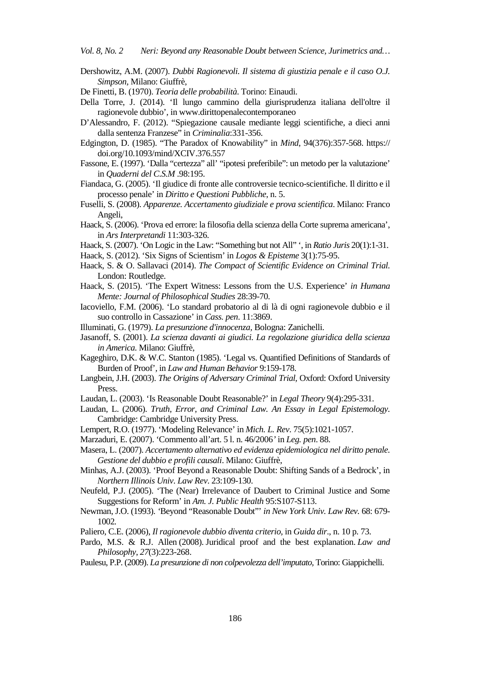*Vol. 8, No. 2 Neri: Beyond any Reasonable Doubt between Science, Jurimetrics and…*

- Dershowitz, A.M. (2007). *Dubbi Ragionevoli. Il sistema di giustizia penale e il caso O.J. Simpson,* Milano: Giuffrè,
- De Finetti, B. (1970). *Teoria delle probabilità*. Torino: Einaudi.
- Della Torre, J. (2014). 'Il lungo cammino della giurisprudenza italiana dell'oltre il ragionevole dubbio'*,* i[n www.dirittopenalecontemporaneo](http://www.dirittopenalecontemporaneo/)
- D'Alessandro, F. (2012). "Spiegazione causale mediante leggi scientifiche, a dieci anni dalla sentenza Franzese" in *Criminalia*:331-356.
- Edgington, D. (1985). "The Paradox of Knowability" in *Mind*, 94(376):357-568. https:// doi.org/10.1093/mind/XCIV.376.557
- Fassone, E. (1997). 'Dalla "certezza" all' "ipotesi preferibile": un metodo per la valutazione' in *Quaderni del C.S.M* .98:195.
- Fiandaca, G. (2005). 'Il giudice di fronte alle controversie tecnico-scientifiche. Il diritto e il processo penale' in *Diritto e Questioni Pubbliche*, n. 5.
- Fuselli, S. (2008). *Apparenze. Accertamento giudiziale e prova scientifica*. Milano: Franco Angeli,
- Haack, S. (2006). 'Prova ed errore: la filosofia della scienza della Corte suprema americana', in *Ars Interpretandi* 11:303-326.
- Haack, S. (2007). 'On Logic in the Law: "Something but not All" ', in *Ratio Juris* 20(1):1-31.
- Haack, S. (2012). 'Six Signs of Scientism' in *Logos & Episteme* 3(1):75-95.
- Haack, S. & O. Sallavaci (2014). *The Compact of Scientific Evidence on Criminal Trial.* London: Routledge.
- Haack, S. (2015). 'The Expert Witness: Lessons from the U.S. Experience' *in Humana Mente: Journal of Philosophical Studies* 28:39-70.
- Iacoviello, F.M. (2006). 'Lo standard probatorio al di là di ogni ragionevole dubbio e il suo controllo in Cassazione' in *Cass. pen*. 11:3869.
- Illuminati, G. (1979). *La presunzione d'innocenza,* Bologna: Zanichelli.
- Jasanoff, S. (2001). *La scienza davanti ai giudici. La regolazione giuridica della scienza in America.* Milano: Giuffrè,
- Kageghiro, D.K. & W.C. Stanton (1985). 'Legal vs. Quantified Definitions of Standards of Burden of Proof'*,* in *Law and Human Behavior* 9:159-178.
- Langbein, J.H. (2003). *The Origins of Adversary Criminal Trial,* Oxford: Oxford University Press.
- Laudan, L. (2003). 'Is Reasonable Doubt Reasonable?' in *Legal Theory* 9(4):295-331.
- Laudan, L. (2006). *Truth, Error, and Criminal Law. An Essay in Legal Epistemology.*  Cambridge: Cambridge University Press.
- Lempert, R.O. (1977). 'Modeling Relevance' in *Mich. L. Rev*. 75(5):1021-1057.
- Marzaduri, E. (2007). 'Commento all'art. 5 l. n. 46/2006*'* in *Leg. pen*. 88.
- Masera, L. (2007). *Accertamento alternativo ed evidenza epidemiologica nel diritto penale. Gestione del dubbio e profili causali*. Milano: Giuffrè,
- Minhas, A.J. (2003). 'Proof Beyond a Reasonable Doubt: Shifting Sands of a Bedrock', in *Northern Illinois Univ. Law Rev*. 23:109-130.
- Neufeld, P.J. (2005). 'The (Near) Irrelevance of Daubert to Criminal Justice and Some Suggestions for Reform' in *Am. J. Public Health* 95:S107-S113.
- Newman, J.O. (1993). *'*Beyond "Reasonable Doubt"' *in New York Univ. Law Rev.* 68: 679- 1002*.*
- Paliero, C.E. (2006), *Il ragionevole dubbio diventa criterio,* in *Guida dir*., n. 10 p. 73.
- Pardo, M.S. & R.J. Allen (2008). Juridical proof and the best explanation. *Law and Philosophy*, *27*(3):223-268.
- Paulesu, P.P. (2009). *La presunzione di non colpevolezza dell'imputato,* Torino: Giappichelli.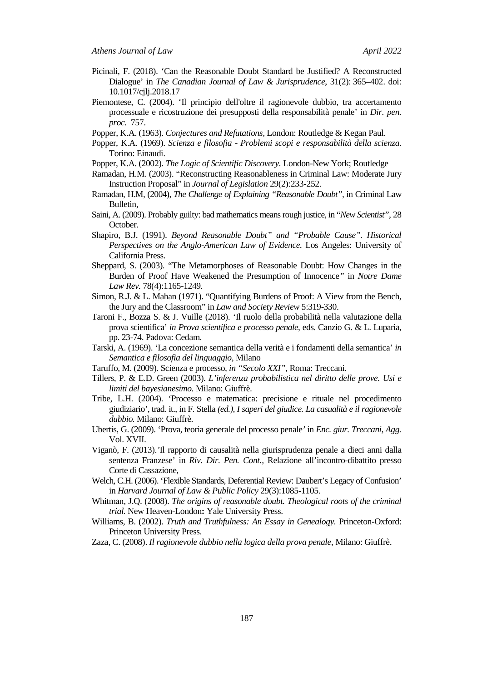- Picinali, F. (2018). 'Can the Reasonable Doubt Standard be Justified? A Reconstructed Dialogue' in *The Canadian Journal of Law & Jurisprudence*, 31(2): 365–402. doi: 10.1017/cjlj.2018.17
- Piemontese, C. (2004). 'Il principio dell'oltre il ragionevole dubbio, tra accertamento processuale e ricostruzione dei presupposti della responsabilità penale' in *Dir. pen. proc.* 757.

Popper, K.A. (1963). *Conjectures and Refutations,* London: Routledge & Kegan Paul.

- Popper, K.A. (1969). *Scienza e filosofia Problemi scopi e responsabilità della scienza*. Torino: Einaudi.
- Popper, K.A. (2002). *The Logic of Scientific Discovery.* London-New York; Routledge
- Ramadan, H.M. (2003). "Reconstructing Reasonableness in Criminal Law: Moderate Jury Instruction Proposal" in *Journal of Legislation* 29(2):233-252.
- Ramadan, H.M, (2004), *The Challenge of Explaining "Reasonable Doubt",* in Criminal Law Bulletin,
- Saini, A. (2009). Probably guilty: bad mathematics means rough justice*,* in "*New Scientist",* 28 October.
- Shapiro, B.J. (1991). *Beyond Reasonable Doubt" and "Probable Cause". Historical Perspectives on the Anglo-American Law of Evidence.* Los Angeles: University of California Press.
- Sheppard, S. (2003). "The Metamorphoses of Reasonable Doubt: How Changes in the Burden of Proof Have Weakened the Presumption of Innocence*"* in *Notre Dame Law Rev.* 78(4):1165-1249*.*
- Simon, R.J. & L. Mahan (1971). "Quantifying Burdens of Proof: A View from the Bench, the Jury and the Classroom" in *Law and Society Review* 5:319-330.
- Taroni F., Bozza S. & J. Vuille (2018). 'Il ruolo della probabilità nella valutazione della prova scientifica' *in Prova scientifica e processo penale*, eds. Canzio G. & L. Luparia, pp. 23-74. Padova: Cedam.
- Tarski, A. (1969). 'La concezione semantica della verità e i fondamenti della semantica' *in Semantica e filosofia del linguaggio,* Milano
- Taruffo, M. (2009). Scienza e processo*, in "Secolo XXI"*, Roma: Treccani.
- Tillers, P. & E.D. Green (2003). *L'inferenza probabilistica nel diritto delle prove. Usi e limiti del bayesianesimo.* Milano: Giuffrè.
- Tribe, L.H. (2004). 'Processo e matematica: precisione e rituale nel procedimento giudiziario', trad. it., in F. Stella *(ed.), I saperi del giudice. La casualità e il ragionevole dubbio.* Milano: Giuffrè.
- Ubertis, G. (2009). 'Prova, teoria generale del processo penale*'* in *Enc. giur. Treccani, Agg.* Vol. XVII.
- Viganò, F. (2013).*'*Il rapporto di causalità nella giurisprudenza penale a dieci anni dalla sentenza Franzese' in *Riv. Dir. Pen. Cont.,* Relazione all'incontro-dibattito presso Corte di Cassazione,
- Welch, C.H. (2006). 'Flexible Standards, Deferential Review: Daubert's Legacy of Confusion' in *Harvard Journal of Law & Public Policy* 29(3):1085-1105.
- Whitman, J.Q. (2008). *The origins of reasonable doubt. Theological roots of the criminal trial.* New Heaven-London**:** Yale University Press.
- Williams, B. (2002). *Truth and Truthfulness: An Essay in Genealogy.* Princeton-Oxford: Princeton University Press.
- Zaza, C. (2008). *Il ragionevole dubbio nella logica della prova penale*, Milano: Giuffrè.